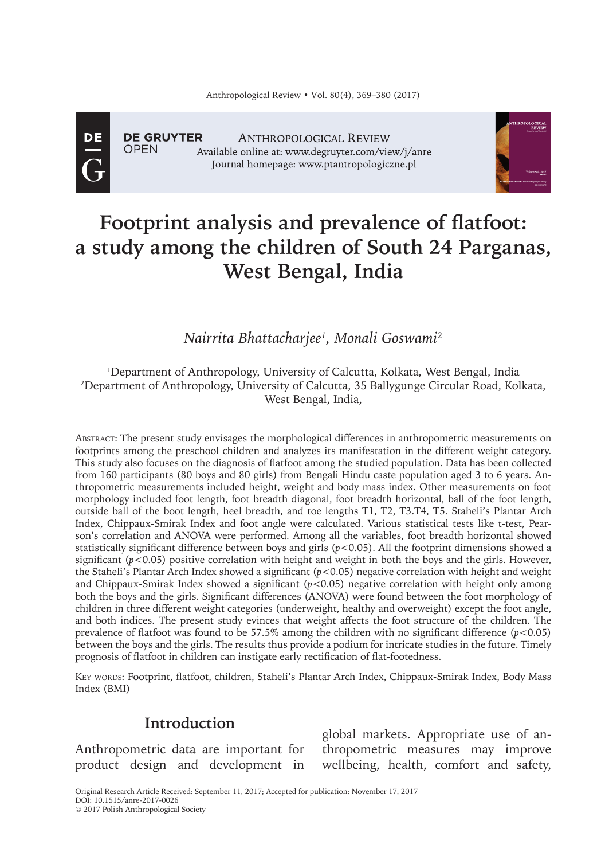DE

**OPFN** 

**DE GRUYTER ANTHROPOLOGICAL REVIEW** Available online at: www.degruyter.com/view/j/anre Journal homepage: www.ptantropologiczne.pl



# **Footprint analysis and prevalence of flatfoot: a study among the children of South 24 Parganas, West Bengal, India**

*Nairrita Bhattacharjee1 , Monali Goswami2*

#### 1 Department of Anthropology, University of Calcutta, Kolkata, West Bengal, India 2 Department of Anthropology, University of Calcutta, 35 Ballygunge Circular Road, Kolkata, West Bengal, India,

Abstract: The present study envisages the morphological differences in anthropometric measurements on footprints among the preschool children and analyzes its manifestation in the different weight category. This study also focuses on the diagnosis of flatfoot among the studied population. Data has been collected from 160 participants (80 boys and 80 girls) from Bengali Hindu caste population aged 3 to 6 years. Anthropometric measurements included height, weight and body mass index. Other measurements on foot morphology included foot length, foot breadth diagonal, foot breadth horizontal, ball of the foot length, outside ball of the boot length, heel breadth, and toe lengths T1, T2, T3.T4, T5. Staheli's Plantar Arch Index, Chippaux-Smirak Index and foot angle were calculated. Various statistical tests like t-test, Pearson's correlation and ANOVA were performed. Among all the variables, foot breadth horizontal showed statistically significant difference between boys and girls  $(p<0.05)$ . All the footprint dimensions showed a significant  $(p<0.05)$  positive correlation with height and weight in both the boys and the girls. However, the Staheli's Plantar Arch Index showed a significant (*p*<0.05) negative correlation with height and weight and Chippaux-Smirak Index showed a significant (*p*<0.05) negative correlation with height only among both the boys and the girls. Significant differences (ANOVA) were found between the foot morphology of children in three different weight categories (underweight, healthy and overweight) except the foot angle, and both indices. The present study evinces that weight affects the foot structure of the children. The prevalence of flatfoot was found to be 57.5% among the children with no significant difference (*p*<0.05) between the boys and the girls. The results thus provide a podium for intricate studies in the future. Timely prognosis of flatfoot in children can instigate early rectification of flat-footedness.

Key words: Footprint, flatfoot, children, Staheli's Plantar Arch Index, Chippaux-Smirak Index, Body Mass Index (BMI)

# **Introduction**

Anthropometric data are important for product design and development in

global markets. Appropriate use of anthropometric measures may improve wellbeing, health, comfort and safety,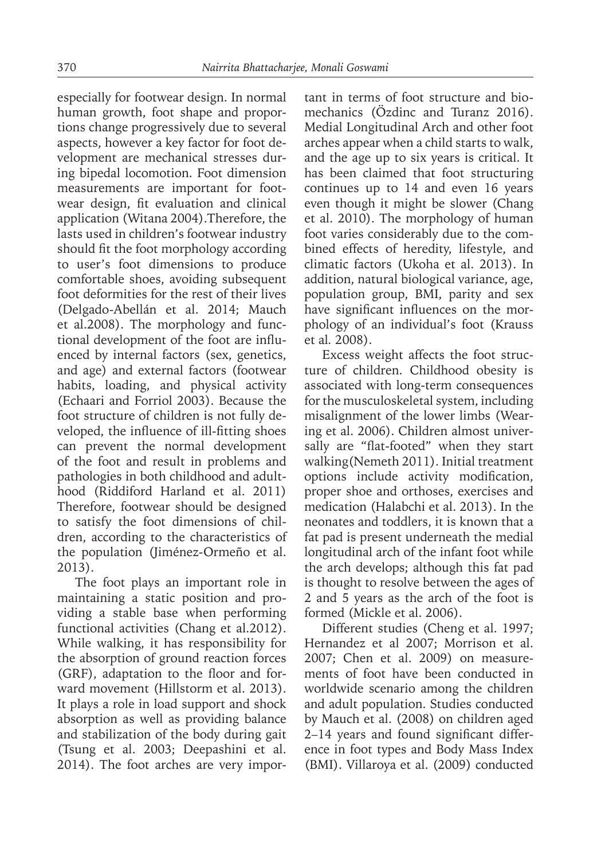especially for footwear design. In normal human growth, foot shape and proportions change progressively due to several aspects, however a key factor for foot development are mechanical stresses during bipedal locomotion. Foot dimension measurements are important for footwear design, fit evaluation and clinical application (Witana 2004).Therefore, the lasts used in children's footwear industry should fit the foot morphology according to user's foot dimensions to produce comfortable shoes, avoiding subsequent foot deformities for the rest of their lives (Delgado-Abellán et al. 2014; Mauch et al.2008). The morphology and functional development of the foot are influenced by internal factors (sex, genetics, and age) and external factors (footwear habits, loading, and physical activity (Echaari and Forriol 2003). Because the foot structure of children is not fully developed, the influence of ill-fitting shoes can prevent the normal development of the foot and result in problems and pathologies in both childhood and adulthood (Riddiford Harland et al. 2011) Therefore, footwear should be designed to satisfy the foot dimensions of children, according to the characteristics of the population (Jiménez-Ormeño et al. 2013).

The foot plays an important role in maintaining a static position and providing a stable base when performing functional activities (Chang et al.2012). While walking, it has responsibility for the absorption of ground reaction forces (GRF), adaptation to the floor and forward movement (Hillstorm et al. 2013). It plays a role in load support and shock absorption as well as providing balance and stabilization of the body during gait (Tsung et al. 2003; Deepashini et al. 2014). The foot arches are very important in terms of foot structure and biomechanics (Özdinc and Turanz 2016). Medial Longitudinal Arch and other foot arches appear when a child starts to walk, and the age up to six years is critical. It has been claimed that foot structuring continues up to 14 and even 16 years even though it might be slower (Chang et al. 2010). The morphology of human foot varies considerably due to the combined effects of heredity, lifestyle, and climatic factors (Ukoha et al. 2013). In addition, natural biological variance, age, population group, BMI, parity and sex have significant influences on the morphology of an individual's foot (Krauss et al*.* 2008).

Excess weight affects the foot structure of children. Childhood obesity is associated with long-term consequences for the musculoskeletal system, including misalignment of the lower limbs (Wearing et al. 2006). Children almost universally are "flat-footed" when they start walking(Nemeth 2011). Initial treatment options include activity modification, proper shoe and orthoses, exercises and medication (Halabchi et al. 2013). In the neonates and toddlers, it is known that a fat pad is present underneath the medial longitudinal arch of the infant foot while the arch develops; although this fat pad is thought to resolve between the ages of 2 and 5 years as the arch of the foot is formed (Mickle et al. 2006).

Different studies (Cheng et al. 1997; Hernandez et al 2007; Morrison et al. 2007; Chen et al. 2009) on measurements of foot have been conducted in worldwide scenario among the children and adult population. Studies conducted by Mauch et al. (2008) on children aged 2–14 years and found significant difference in foot types and Body Mass Index (BMI). Villaroya et al. (2009) conducted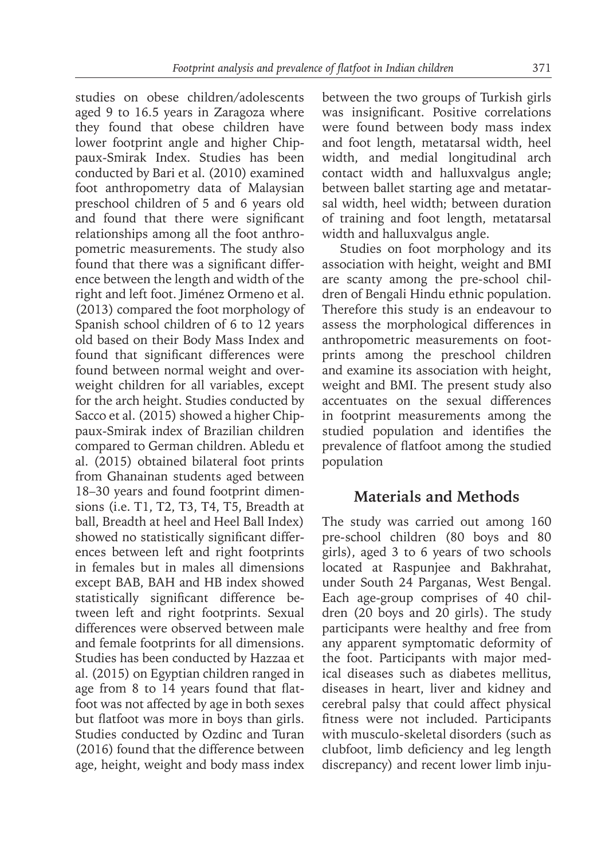studies on obese children/adolescents aged 9 to 16.5 years in Zaragoza where they found that obese children have lower footprint angle and higher Chippaux-Smirak Index. Studies has been conducted by Bari et al. (2010) examined foot anthropometry data of Malaysian preschool children of 5 and 6 years old and found that there were significant relationships among all the foot anthropometric measurements. The study also found that there was a significant difference between the length and width of the right and left foot. Jiménez Ormeno et al. (2013) compared the foot morphology of Spanish school children of 6 to 12 years old based on their Body Mass Index and found that significant differences were found between normal weight and overweight children for all variables, except for the arch height. Studies conducted by Sacco et al. (2015) showed a higher Chippaux-Smirak index of Brazilian children compared to German children. Abledu et al. (2015) obtained bilateral foot prints from Ghanainan students aged between 18–30 years and found footprint dimensions (i.e. T1, T2, T3, T4, T5, Breadth at ball, Breadth at heel and Heel Ball Index) showed no statistically significant differences between left and right footprints in females but in males all dimensions except BAB, BAH and HB index showed statistically significant difference between left and right footprints. Sexual differences were observed between male and female footprints for all dimensions. Studies has been conducted by Hazzaa et al. (2015) on Egyptian children ranged in age from 8 to 14 years found that flatfoot was not affected by age in both sexes but flatfoot was more in boys than girls. Studies conducted by Ozdinc and Turan (2016) found that the difference between age, height, weight and body mass index between the two groups of Turkish girls was insignificant. Positive correlations were found between body mass index and foot length, metatarsal width, heel width, and medial longitudinal arch contact width and halluxvalgus angle; between ballet starting age and metatarsal width, heel width; between duration of training and foot length, metatarsal width and halluxvalgus angle.

Studies on foot morphology and its association with height, weight and BMI are scanty among the pre-school children of Bengali Hindu ethnic population. Therefore this study is an endeavour to assess the morphological differences in anthropometric measurements on footprints among the preschool children and examine its association with height, weight and BMI. The present study also accentuates on the sexual differences in footprint measurements among the studied population and identifies the prevalence of flatfoot among the studied population

# **Materials and Methods**

The study was carried out among 160 pre-school children (80 boys and 80 girls), aged 3 to 6 years of two schools located at Raspunjee and Bakhrahat, under South 24 Parganas, West Bengal. Each age-group comprises of 40 children (20 boys and 20 girls). The study participants were healthy and free from any apparent symptomatic deformity of the foot. Participants with major medical diseases such as diabetes mellitus, diseases in heart, liver and kidney and cerebral palsy that could affect physical fitness were not included. Participants with musculo-skeletal disorders (such as clubfoot, limb deficiency and leg length discrepancy) and recent lower limb inju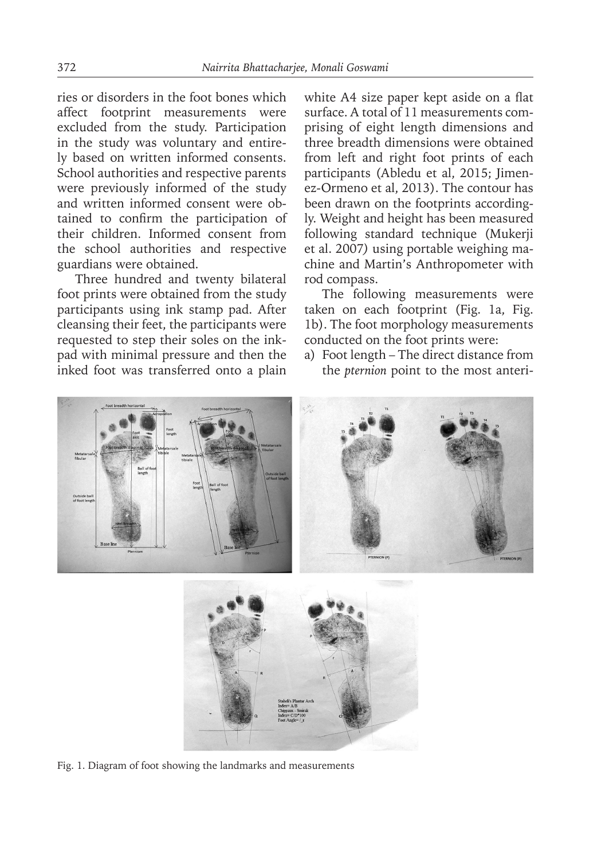ries or disorders in the foot bones which affect footprint measurements were excluded from the study. Participation in the study was voluntary and entirely based on written informed consents. School authorities and respective parents were previously informed of the study and written informed consent were obtained to confirm the participation of their children. Informed consent from the school authorities and respective guardians were obtained.

Three hundred and twenty bilateral foot prints were obtained from the study participants using ink stamp pad. After cleansing their feet, the participants were requested to step their soles on the inkpad with minimal pressure and then the inked foot was transferred onto a plain

white A4 size paper kept aside on a flat surface. A total of 11 measurements comprising of eight length dimensions and three breadth dimensions were obtained from left and right foot prints of each participants (Abledu et al, 2015; Jimenez-Ormeno et al, 2013). The contour has been drawn on the footprints accordingly. Weight and height has been measured following standard technique (Mukerji et al. 2007*)* using portable weighing machine and Martin's Anthropometer with rod compass.

The following measurements were taken on each footprint (Fig. 1a, Fig. 1b). The foot morphology measurements conducted on the foot prints were:

a) Foot length – The direct distance from the *pternion* point to the most anteri-



Fig. 1. Diagram of foot showing the landmarks and measurements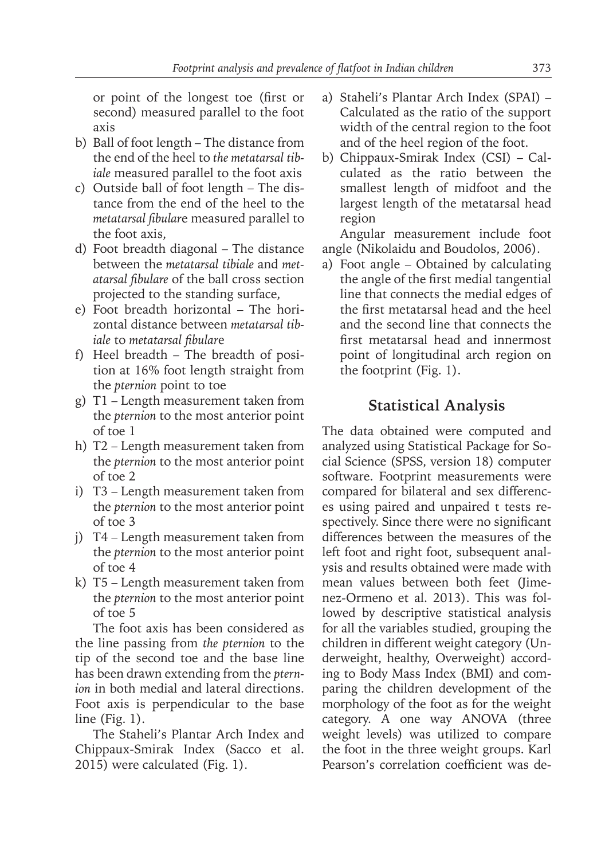or point of the longest toe (first or second) measured parallel to the foot axis

- b) Ball of foot length The distance from the end of the heel to *the metatarsal tibiale* measured parallel to the foot axis
- c) Outside ball of foot length The distance from the end of the heel to the *metatarsal fibular*e measured parallel to the foot axis,
- d) Foot breadth diagonal The distance between the *metatarsal tibiale* and *metatarsal fibulare* of the ball cross section projected to the standing surface,
- e) Foot breadth horizontal The horizontal distance between *metatarsal tibiale* to *metatarsal fibular*e
- f) Heel breadth The breadth of position at 16% foot length straight from the *pternion* point to toe
- g) T1 Length measurement taken from the *pternion* to the most anterior point of toe 1
- h) T2 Length measurement taken from the *pternion* to the most anterior point of toe 2
- i) T3 Length measurement taken from the *pternion* to the most anterior point of toe 3
- j) T4 Length measurement taken from the *pternion* to the most anterior point of toe 4
- k) T5 Length measurement taken from the *pternion* to the most anterior point of toe 5

The foot axis has been considered as the line passing from *the pternion* to the tip of the second toe and the base line has been drawn extending from the *pternion* in both medial and lateral directions. Foot axis is perpendicular to the base line (Fig. 1).

The Staheli's Plantar Arch Index and Chippaux-Smirak Index (Sacco et al. 2015) were calculated (Fig. 1).

- a) Staheli's Plantar Arch Index (SPAI) Calculated as the ratio of the support width of the central region to the foot and of the heel region of the foot.
- b) Chippaux-Smirak Index (CSI) Calculated as the ratio between the smallest length of midfoot and the largest length of the metatarsal head region

Angular measurement include foot angle (Nikolaidu and Boudolos, 2006).

a) Foot angle – Obtained by calculating the angle of the first medial tangential line that connects the medial edges of the first metatarsal head and the heel and the second line that connects the first metatarsal head and innermost point of longitudinal arch region on the footprint (Fig. 1).

# **Statistical Analysis**

The data obtained were computed and analyzed using Statistical Package for Social Science (SPSS, version 18) computer software. Footprint measurements were compared for bilateral and sex differences using paired and unpaired t tests respectively. Since there were no significant differences between the measures of the left foot and right foot, subsequent analysis and results obtained were made with mean values between both feet (Jimenez-Ormeno et al. 2013). This was followed by descriptive statistical analysis for all the variables studied, grouping the children in different weight category (Underweight, healthy, Overweight) according to Body Mass Index (BMI) and comparing the children development of the morphology of the foot as for the weight category. A one way ANOVA (three weight levels) was utilized to compare the foot in the three weight groups. Karl Pearson's correlation coefficient was de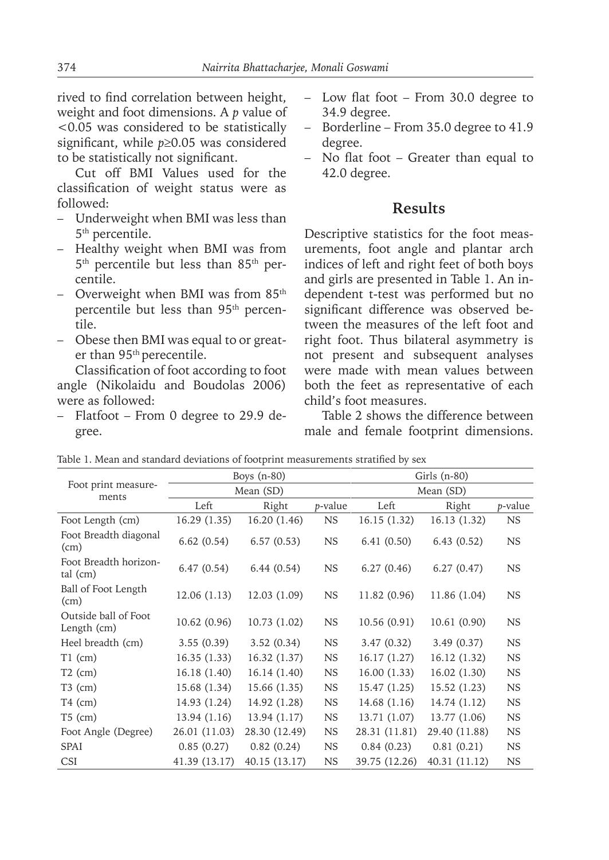rived to find correlation between height, weight and foot dimensions. A *p* value of <0.05 was considered to be statistically significant, while *p*≥0.05 was considered to be statistically not significant.

Cut off BMI Values used for the classification of weight status were as followed:

- Underweight when BMI was less than 5th percentile.
- Healthy weight when BMI was from 5<sup>th</sup> percentile but less than 85<sup>th</sup> percentile.
- Overweight when BMI was from  $85<sup>th</sup>$ percentile but less than 95th percentile.
- Obese then BMI was equal to or greater than 95th perecentile.

Classification of foot according to foot angle (Nikolaidu and Boudolas 2006) were as followed:

– Flatfoot – From 0 degree to 29.9 degree.

- Low flat foot From 30.0 degree to 34.9 degree.
- Borderline From 35.0 degree to 41.9 degree.
- No flat foot Greater than equal to 42.0 degree.

#### **Results**

Descriptive statistics for the foot measurements, foot angle and plantar arch indices of left and right feet of both boys and girls are presented in Table 1. An independent t-test was performed but no significant difference was observed between the measures of the left foot and right foot. Thus bilateral asymmetry is not present and subsequent analyses were made with mean values between both the feet as representative of each child's foot measures.

Table 2 shows the difference between male and female footprint dimensions.

|                                     |               | Boys $(n-80)$ |           | Girls (n-80)  |               |                 |  |  |
|-------------------------------------|---------------|---------------|-----------|---------------|---------------|-----------------|--|--|
| Foot print measure-<br>ments        |               | Mean (SD)     |           | Mean (SD)     |               |                 |  |  |
|                                     | Left          | Right         | p-value   | Left          | Right         | <i>p</i> -value |  |  |
| Foot Length (cm)                    | 16.29(1.35)   | 16.20 (1.46)  | <b>NS</b> | 16.15(1.32)   | 16.13 (1.32)  | <b>NS</b>       |  |  |
| Foot Breadth diagonal<br>(cm)       | 6.62(0.54)    | 6.57(0.53)    | <b>NS</b> | 6.41(0.50)    | 6.43(0.52)    | <b>NS</b>       |  |  |
| Foot Breadth horizon-<br>tal (cm)   | 6.47(0.54)    | 6.44(0.54)    | <b>NS</b> | 6.27(0.46)    | 6.27(0.47)    | <b>NS</b>       |  |  |
| Ball of Foot Length<br>(cm)         | 12.06(1.13)   | 12.03 (1.09)  | <b>NS</b> | 11.82 (0.96)  | 11.86 (1.04)  | <b>NS</b>       |  |  |
| Outside ball of Foot<br>Length (cm) | 10.62(0.96)   | 10.73 (1.02)  | <b>NS</b> | 10.56(0.91)   | 10.61(0.90)   | <b>NS</b>       |  |  |
| Heel breadth (cm)                   | 3.55(0.39)    | 3.52(0.34)    | <b>NS</b> | 3.47(0.32)    | 3.49(0.37)    | <b>NS</b>       |  |  |
| $T1$ (cm)                           | 16.35(1.33)   | 16.32 (1.37)  | <b>NS</b> | 16.17(1.27)   | 16.12 (1.32)  | <b>NS</b>       |  |  |
| $T2$ (cm)                           | 16.18(1.40)   | 16.14 (1.40)  | <b>NS</b> | 16.00(1.33)   | 16.02 (1.30)  | <b>NS</b>       |  |  |
| $T3$ (cm)                           | 15.68 (1.34)  | 15.66 (1.35)  | <b>NS</b> | 15.47(1.25)   | 15.52 (1.23)  | <b>NS</b>       |  |  |
| $T4$ (cm)                           | 14.93 (1.24)  | 14.92 (1.28)  | <b>NS</b> | 14.68 (1.16)  | 14.74 (1.12)  | <b>NS</b>       |  |  |
| $T5$ (cm)                           | 13.94(1.16)   | 13.94 (1.17)  | <b>NS</b> | 13.71 (1.07)  | 13.77 (1.06)  | <b>NS</b>       |  |  |
| Foot Angle (Degree)                 | 26.01 (11.03) | 28.30 (12.49) | <b>NS</b> | 28.31 (11.81) | 29.40 (11.88) | <b>NS</b>       |  |  |
| <b>SPAI</b>                         | 0.85(0.27)    | 0.82(0.24)    | <b>NS</b> | 0.84(0.23)    | 0.81(0.21)    | <b>NS</b>       |  |  |
| <b>CSI</b>                          | 41.39 (13.17) | 40.15(13.17)  | <b>NS</b> | 39.75 (12.26) | 40.31 (11.12) | <b>NS</b>       |  |  |

Table 1. Mean and standard deviations of footprint measurements stratified by sex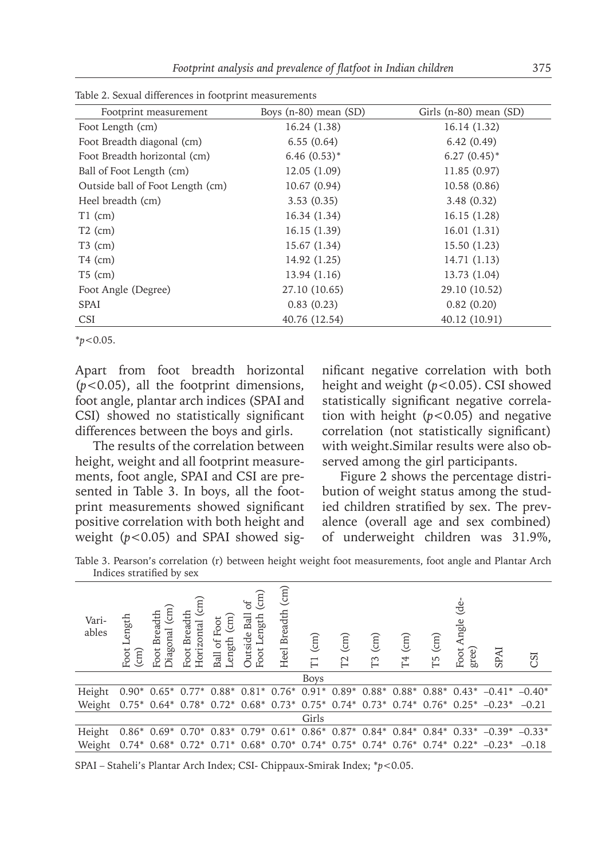| Footprint measurement            | Boys $(n-80)$ mean $(SD)$ | Girls (n-80) mean (SD) |  |  |  |  |  |  |  |
|----------------------------------|---------------------------|------------------------|--|--|--|--|--|--|--|
| Foot Length (cm)                 | 16.24 (1.38)              | 16.14 (1.32)           |  |  |  |  |  |  |  |
| Foot Breadth diagonal (cm)       | 6.55(0.64)                | 6.42(0.49)             |  |  |  |  |  |  |  |
| Foot Breadth horizontal (cm)     | $6.46(0.53)$ *            | $6.27(0.45)$ *         |  |  |  |  |  |  |  |
| Ball of Foot Length (cm)         | 12.05(1.09)               | 11.85 (0.97)           |  |  |  |  |  |  |  |
| Outside ball of Foot Length (cm) | 10.67(0.94)               | 10.58 (0.86)           |  |  |  |  |  |  |  |
| Heel breadth (cm)                | 3.53(0.35)                | 3.48(0.32)             |  |  |  |  |  |  |  |
| $T1$ (cm)                        | 16.34 (1.34)              | 16.15(1.28)            |  |  |  |  |  |  |  |
| $T2$ (cm)                        | 16.15(1.39)               | 16.01(1.31)            |  |  |  |  |  |  |  |
| $T3$ (cm)                        | 15.67 (1.34)              | 15.50 (1.23)           |  |  |  |  |  |  |  |
| $T4$ (cm)                        | 14.92 (1.25)              | 14.71 (1.13)           |  |  |  |  |  |  |  |
| $T5$ (cm)                        | 13.94 (1.16)              | 13.73 (1.04)           |  |  |  |  |  |  |  |
| Foot Angle (Degree)              | 27.10 (10.65)             | 29.10 (10.52)          |  |  |  |  |  |  |  |
| <b>SPAI</b>                      | 0.83(0.23)                | 0.82(0.20)             |  |  |  |  |  |  |  |
| <b>CSI</b>                       | 40.76 (12.54)             | 40.12 (10.91)          |  |  |  |  |  |  |  |

Table 2. Sexual differences in footprint measurements

\**p*<0.05.

Apart from foot breadth horizontal (*p*<0.05), all the footprint dimensions, foot angle, plantar arch indices (SPAI and CSI) showed no statistically significant differences between the boys and girls.

The results of the correlation between height, weight and all footprint measurements, foot angle, SPAI and CSI are presented in Table 3. In boys, all the footprint measurements showed significant positive correlation with both height and weight (*p*<0.05) and SPAI showed significant negative correlation with both height and weight (*p*<0.05). CSI showed statistically significant negative correlation with height  $(p<0.05)$  and negative correlation (not statistically significant) with weight.Similar results were also observed among the girl participants.

Figure 2 shows the percentage distribution of weight status among the studied children stratified by sex. The prevalence (overall age and sex combined) of underweight children was 31.9%,

Table 3. Pearson's correlation (r) between height weight foot measurements, foot angle and Plantar Arch Indices stratified by sex

| Vari-<br>ables | ength.<br>ー<br>Foot<br>$\text{cm}$ | $\binom{m}{n}$<br><b>Breadth</b><br>Jiagonal<br>Foot | $\widehat{\text{cm}}$<br>Foot Breadth<br>Horizontal | $\binom{m}{n}$<br>of Foot<br>ength<br>Ball | $\binom{m}{n}$<br>$\mathfrak{b}$<br>Ball<br>Foot Length<br>Outside | $\binom{m}{m}$<br><b>Breadth</b><br>Heel | $\binom{m}{k}$<br>$\Gamma$ | $\binom{m}{m}$<br>$\Gamma$ | $\widehat{\text{cm}}$<br>T3 | $\widehat{\mathrm{(m)}}$<br>T <sub>4</sub> | (m)<br>Г5 | ಕೆ<br>Angle<br>gree)<br>Foot. | SPAI                                                                                                                  | CSI      |
|----------------|------------------------------------|------------------------------------------------------|-----------------------------------------------------|--------------------------------------------|--------------------------------------------------------------------|------------------------------------------|----------------------------|----------------------------|-----------------------------|--------------------------------------------|-----------|-------------------------------|-----------------------------------------------------------------------------------------------------------------------|----------|
|                |                                    |                                                      |                                                     |                                            |                                                                    |                                          | <b>Boys</b>                |                            |                             |                                            |           |                               |                                                                                                                       |          |
| Height         |                                    | $0.90^*$ $0.65^*$ $0.77^*$                           |                                                     |                                            |                                                                    |                                          |                            |                            |                             |                                            |           |                               | $0.88^*$ $0.81^*$ $0.76^*$ $0.91^*$ $0.89^*$ $0.88^*$ $0.88^*$ $0.88^*$ $0.43^*$ $-0.41^*$                            | $-0.40*$ |
| Weight         |                                    |                                                      |                                                     |                                            |                                                                    |                                          |                            |                            |                             |                                            |           |                               | $0.75^*$ $0.64^*$ $0.78^*$ $0.72^*$ $0.68^*$ $0.73^*$ $0.75^*$ $0.74^*$ $0.73^*$ $0.74^*$ $0.76^*$ $0.25^*$ $-0.23^*$ | $-0.21$  |
| Girls          |                                    |                                                      |                                                     |                                            |                                                                    |                                          |                            |                            |                             |                                            |           |                               |                                                                                                                       |          |
| Height         |                                    | $0.86*0.69*$                                         |                                                     |                                            |                                                                    |                                          |                            |                            |                             |                                            |           |                               | $0.70^*$ $0.83^*$ $0.79^*$ $0.61^*$ $0.86^*$ $0.87^*$ $0.84^*$ $0.84^*$ $0.84^*$ $0.33^*$ $-0.39^*$                   | $-0.33*$ |
| Weight         | $0.74*$                            | $0.68*$                                              | $0.72*$                                             | $0.71*$                                    |                                                                    |                                          |                            |                            |                             |                                            |           |                               | $0.68*$ $0.70*$ $0.74*$ $0.75*$ $0.74*$ $0.76*$ $0.74*$ $0.22*$ $-0.23*$                                              | $-0.18$  |

SPAI – Staheli's Plantar Arch Index; CSI- Chippaux-Smirak Index; \**p*<0.05.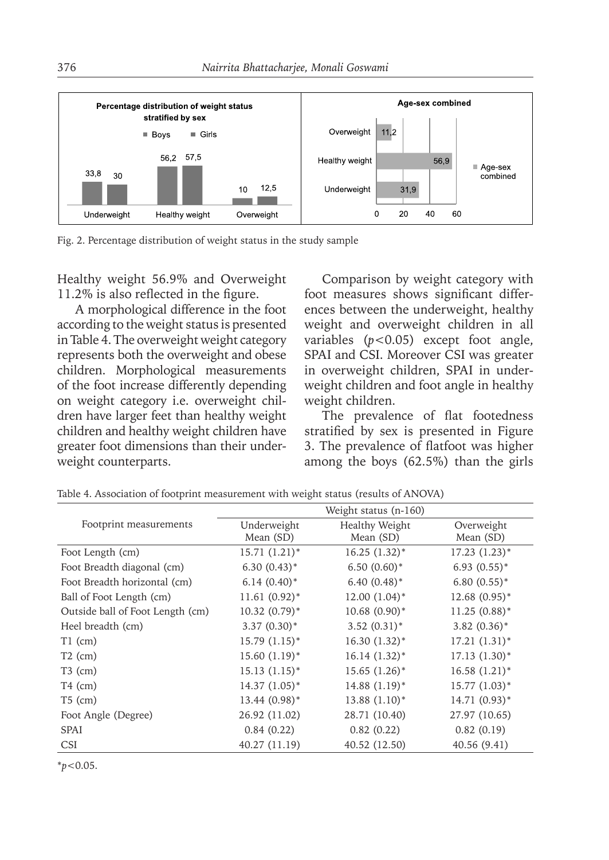

Fig. 2. Percentage distribution of weight status in the study sample

Healthy weight 56.9% and Overweight 11.2% is also reflected in the figure.

A morphological difference in the foot according to the weight status is presented in Table 4. The overweight weight category represents both the overweight and obese children. Morphological measurements of the foot increase differently depending on weight category i.e. overweight children have larger feet than healthy weight children and healthy weight children have greater foot dimensions than their underweight counterparts.

Comparison by weight category with foot measures shows significant differences between the underweight, healthy weight and overweight children in all variables (*p*<0.05) except foot angle, SPAI and CSI. Moreover CSI was greater in overweight children, SPAI in underweight children and foot angle in healthy weight children.

The prevalence of flat footedness stratified by sex is presented in Figure 3. The prevalence of flatfoot was higher among the boys (62.5%) than the girls

|                                  | Weight status $(n-160)$ |                 |                 |  |  |  |  |
|----------------------------------|-------------------------|-----------------|-----------------|--|--|--|--|
| Footprint measurements           | Underweight             | Healthy Weight  | Overweight      |  |  |  |  |
|                                  | Mean (SD)               | Mean (SD)       | Mean (SD)       |  |  |  |  |
| Foot Length (cm)                 | $15.71(1.21)$ *         | $16.25(1.32)^*$ | $17.23(1.23)^*$ |  |  |  |  |
| Foot Breadth diagonal (cm)       | $6.30(0.43)$ *          | $6.50(0.60)$ *  | $6.93(0.55)$ *  |  |  |  |  |
| Foot Breadth horizontal (cm)     | $6.14(0.40)$ *          | $6.40(0.48)$ *  | $6.80(0.55)*$   |  |  |  |  |
| Ball of Foot Length (cm)         | $11.61(0.92)$ *         | $12.00(1.04)$ * | $12.68(0.95)$ * |  |  |  |  |
| Outside ball of Foot Length (cm) | $10.32 (0.79)^*$        | $10.68(0.90)$ * | $11.25(0.88)$ * |  |  |  |  |
| Heel breadth (cm)                | $3.37(0.30)$ *          | $3.52(0.31)^*$  | $3.82(0.36)$ *  |  |  |  |  |
| $T1$ (cm)                        | $15.79(1.15)^*$         | $16.30(1.32)^*$ | $17.21(1.31)^*$ |  |  |  |  |
| $T2$ (cm)                        | $15.60(1.19)$ *         | $16.14(1.32)^*$ | $17.13(1.30)^*$ |  |  |  |  |
| $T3$ (cm)                        | $15.13(1.15)^*$         | $15.65(1.26)$ * | $16.58(1.21)$ * |  |  |  |  |
| $T4$ (cm)                        | $14.37(1.05)^*$         | $14.88(1.19)^*$ | $15.77(1.03)^*$ |  |  |  |  |
| $T5$ (cm)                        | $13.44(0.98)$ *         | $13.88(1.10)*$  | $14.71(0.93)$ * |  |  |  |  |
| Foot Angle (Degree)              | 26.92 (11.02)           | 28.71 (10.40)   | 27.97 (10.65)   |  |  |  |  |
| <b>SPAI</b>                      | 0.84(0.22)              | 0.82(0.22)      | 0.82(0.19)      |  |  |  |  |
| <b>CSI</b>                       | 40.27 (11.19)           | 40.52 (12.50)   | 40.56(9.41)     |  |  |  |  |

Table 4. Association of footprint measurement with weight status (results of ANOVA)

\**p*<0.05.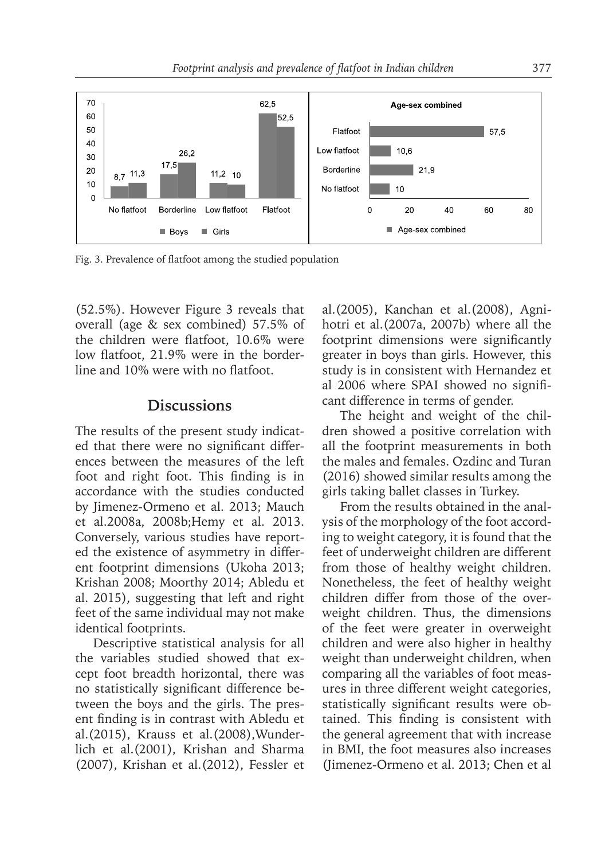

Fig. 3. Prevalence of flatfoot among the studied population

(52.5%). However Figure 3 reveals that overall (age & sex combined) 57.5% of the children were flatfoot, 10.6% were low flatfoot, 21.9% were in the borderline and 10% were with no flatfoot.

### **Discussions**

The results of the present study indicated that there were no significant differences between the measures of the left foot and right foot. This finding is in accordance with the studies conducted by Jimenez-Ormeno et al. 2013; Mauch et al.2008a, 2008b;Hemy et al. 2013. Conversely, various studies have reported the existence of asymmetry in different footprint dimensions (Ukoha 2013; Krishan 2008; Moorthy 2014; Abledu et al. 2015), suggesting that left and right feet of the same individual may not make identical footprints.

Descriptive statistical analysis for all the variables studied showed that except foot breadth horizontal, there was no statistically significant difference between the boys and the girls. The present finding is in contrast with Abledu et al.(2015), Krauss et al.(2008),Wunderlich et al.(2001), Krishan and Sharma (2007), Krishan et al.(2012), Fessler et al.(2005), Kanchan et al.(2008), Agnihotri et al.(2007a, 2007b) where all the footprint dimensions were significantly greater in boys than girls. However, this study is in consistent with Hernandez et al 2006 where SPAI showed no significant difference in terms of gender.

The height and weight of the children showed a positive correlation with all the footprint measurements in both the males and females. Ozdinc and Turan (2016) showed similar results among the girls taking ballet classes in Turkey.

From the results obtained in the analysis of the morphology of the foot according to weight category, it is found that the feet of underweight children are different from those of healthy weight children. Nonetheless, the feet of healthy weight children differ from those of the overweight children. Thus, the dimensions of the feet were greater in overweight children and were also higher in healthy weight than underweight children, when comparing all the variables of foot measures in three different weight categories, statistically significant results were obtained. This finding is consistent with the general agreement that with increase in BMI, the foot measures also increases (Jimenez-Ormeno et al. 2013; Chen et al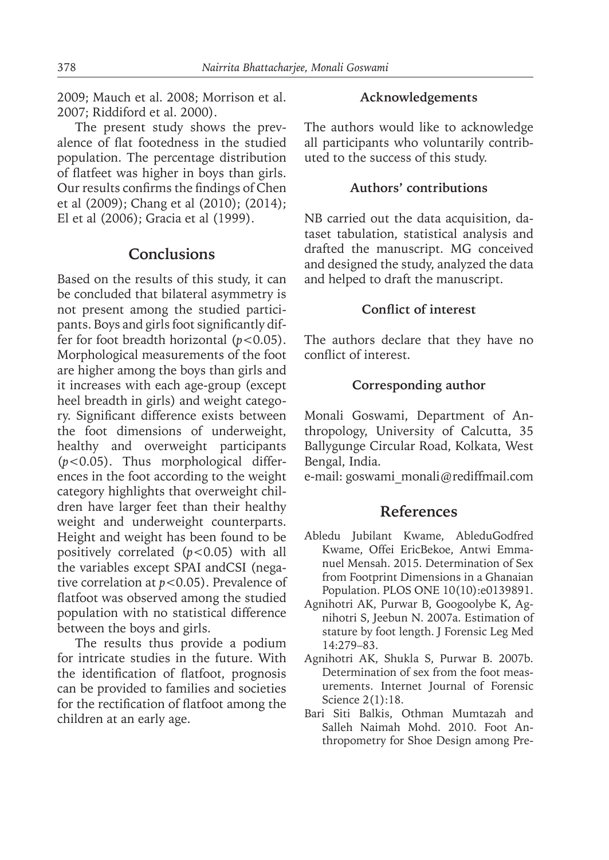2009; Mauch et al. 2008; Morrison et al. 2007; Riddiford et al. 2000).

The present study shows the prevalence of flat footedness in the studied population. The percentage distribution of flatfeet was higher in boys than girls. Our results confirms the findings of Chen et al (2009); Chang et al (2010); (2014); El et al (2006); Gracia et al (1999).

## **Conclusions**

Based on the results of this study, it can be concluded that bilateral asymmetry is not present among the studied participants. Boys and girls foot significantly differ for foot breadth horizontal (*p*<0.05). Morphological measurements of the foot are higher among the boys than girls and it increases with each age-group (except heel breadth in girls) and weight category. Significant difference exists between the foot dimensions of underweight, healthy and overweight participants (*p*<0.05). Thus morphological differences in the foot according to the weight category highlights that overweight children have larger feet than their healthy weight and underweight counterparts. Height and weight has been found to be positively correlated (*p*<0.05) with all the variables except SPAI andCSI (negative correlation at *p*<0.05). Prevalence of flatfoot was observed among the studied population with no statistical difference between the boys and girls.

The results thus provide a podium for intricate studies in the future. With the identification of flatfoot, prognosis can be provided to families and societies for the rectification of flatfoot among the children at an early age.

#### **Acknowledgements**

The authors would like to acknowledge all participants who voluntarily contributed to the success of this study.

### **Authors' contributions**

NB carried out the data acquisition, dataset tabulation, statistical analysis and drafted the manuscript. MG conceived and designed the study, analyzed the data and helped to draft the manuscript.

#### **Conflict of interest**

The authors declare that they have no conflict of interest.

#### **Corresponding author**

Monali Goswami, Department of Anthropology, University of Calcutta, 35 Ballygunge Circular Road, Kolkata, West Bengal, India.

e-mail: goswami\_monali@rediffmail.com

## **References**

- Abledu Jubilant Kwame, AbleduGodfred Kwame, Offei EricBekoe, Antwi Emmanuel Mensah. 2015. Determination of Sex from Footprint Dimensions in a Ghanaian Population. PLOS ONE 10(10):e0139891.
- Agnihotri AK, Purwar B, Googoolybe K, Agnihotri S, Jeebun N. 2007a. Estimation of stature by foot length. J Forensic Leg Med 14:279–83.
- Agnihotri AK, Shukla S, Purwar B. 2007b. Determination of sex from the foot measurements. Internet Journal of Forensic Science 2(1):18.
- Bari Siti Balkis, Othman Mumtazah and Salleh Naimah Mohd. 2010. Foot Anthropometry for Shoe Design among Pre-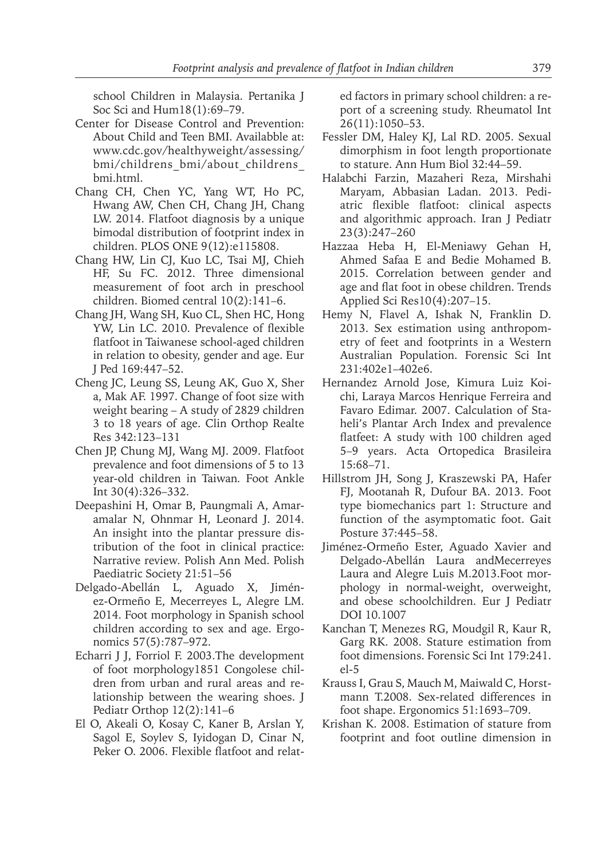school Children in Malaysia. Pertanika J Soc Sci and Hum18(1):69–79.

- Center for Disease Control and Prevention: About Child and Teen BMI. Availabble at: www.cdc.gov/healthyweight/assessing/ bmi/childrens\_bmi/about\_childrens\_ bmi.html.
- Chang CH, Chen YC, Yang WT, Ho PC, Hwang AW, Chen CH, Chang JH, Chang LW. 2014. Flatfoot diagnosis by a unique bimodal distribution of footprint index in children. PLOS ONE 9(12):e115808.
- Chang HW, Lin CJ, Kuo LC, Tsai MJ, Chieh HF, Su FC. 2012. Three dimensional measurement of foot arch in preschool children. Biomed central 10(2):141–6.
- Chang JH, Wang SH, Kuo CL, Shen HC, Hong YW, Lin LC. 2010. Prevalence of flexible flatfoot in Taiwanese school-aged children in relation to obesity, gender and age. Eur J Ped 169:447–52.
- Cheng JC, Leung SS, Leung AK, Guo X, Sher a, Mak AF. 1997. Change of foot size with weight bearing – A study of 2829 children 3 to 18 years of age. Clin Orthop Realte Res 342:123–131
- Chen JP, Chung MJ, Wang MJ. 2009. Flatfoot prevalence and foot dimensions of 5 to 13 year-old children in Taiwan*.* Foot Ankle Int 30(4):326–332.
- Deepashini H, Omar B, Paungmali A, Amaramalar N, Ohnmar H, Leonard J. 2014. An insight into the plantar pressure distribution of the foot in clinical practice: Narrative review*.* Polish Ann Med. Polish Paediatric Society 21:51–56
- Delgado-Abellán L, Aguado X, Jiménez-Ormeño E, Mecerreyes L, Alegre LM. 2014. Foot morphology in Spanish school children according to sex and age. Ergonomics 57(5):787–972.
- Echarri J J, Forriol F. 2003.The development of foot morphology1851 Congolese children from urban and rural areas and relationship between the wearing shoes. J Pediatr Orthop 12(2):141–6
- El O, Akeali O, Kosay C, Kaner B, Arslan Y, Sagol E, Soylev S, Iyidogan D, Cinar N, Peker O. 2006. Flexible flatfoot and relat-

ed factors in primary school children: a report of a screening study. Rheumatol Int 26(11):1050–53.

- Fessler DM, Haley KJ, Lal RD. 2005. Sexual dimorphism in foot length proportionate to stature. Ann Hum Biol 32:44–59.
- Halabchi Farzin, Mazaheri Reza, Mirshahi Maryam, Abbasian Ladan. 2013. Pediatric flexible flatfoot: clinical aspects and algorithmic approach. Iran J Pediatr 23(3):247–260
- Hazzaa Heba H, El-Meniawy Gehan H, Ahmed Safaa E and Bedie Mohamed B. 2015. Correlation between gender and age and flat foot in obese children. Trends Applied Sci Res10(4):207–15.
- Hemy N, Flavel A, Ishak N, Franklin D. 2013. Sex estimation using anthropometry of feet and footprints in a Western Australian Population. Forensic Sci Int 231:402e1–402e6.
- Hernandez Arnold Jose, Kimura Luiz Koichi, Laraya Marcos Henrique Ferreira and Favaro Edimar. 2007. Calculation of Staheli's Plantar Arch Index and prevalence flatfeet: A study with 100 children aged 5–9 years. Acta Ortopedica Brasileira 15:68–71.
- Hillstrom JH, Song J, Kraszewski PA, Hafer FJ, Mootanah R, Dufour BA. 2013. Foot type biomechanics part 1: Structure and function of the asymptomatic foot. Gait Posture 37:445–58.
- Jiménez-Ormeño Ester, Aguado Xavier and Delgado-Abellán Laura andMecerreyes Laura and Alegre Luis M.2013.Foot morphology in normal-weight, overweight, and obese schoolchildren. Eur J Pediatr DOI 10.1007
- Kanchan T, Menezes RG, Moudgil R, Kaur R, Garg RK. 2008. Stature estimation from foot dimensions. Forensic Sci Int 179:241. el-5
- Krauss I, Grau S, Mauch M, Maiwald C, Horstmann T.2008. Sex-related differences in foot shape. Ergonomics 51:1693–709.
- Krishan K. 2008. Estimation of stature from footprint and foot outline dimension in